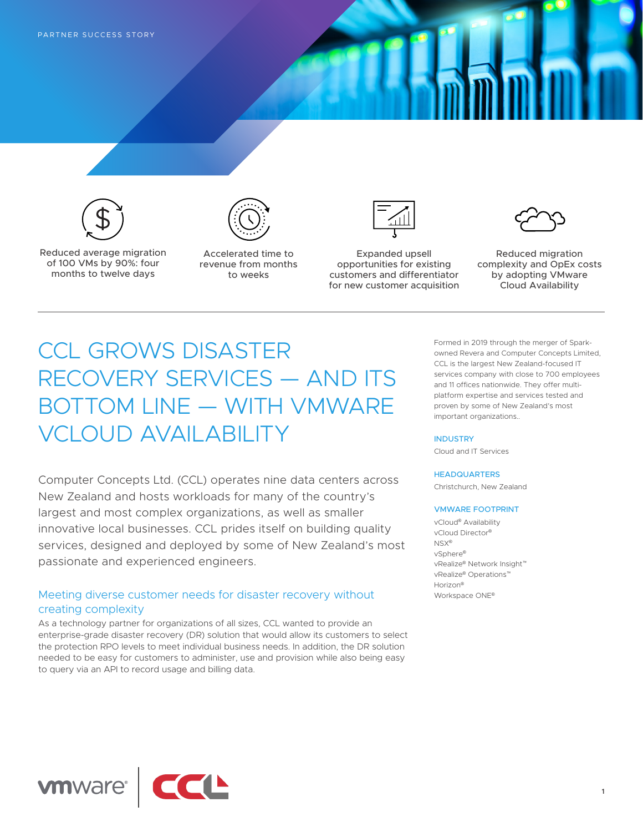

Reduced average migration of 100 VMs by 90%: four months to twelve days



Accelerated time to revenue from months to weeks



Expanded upsell opportunities for existing customers and differentiator for new customer acquisition



Reduced migration complexity and OpEx costs by adopting VMware Cloud Availability

# CCL GROWS DISASTER RECOVERY SERVICES — AND ITS BOTTOM LINE — WITH VMWARE VCLOUD AVAILABILITY

Computer Concepts Ltd. (CCL) operates nine data centers across New Zealand and hosts workloads for many of the country's largest and most complex organizations, as well as smaller innovative local businesses. CCL prides itself on building quality services, designed and deployed by some of New Zealand's most passionate and experienced engineers.

## Meeting diverse customer needs for disaster recovery without creating complexity

As a technology partner for organizations of all sizes, CCL wanted to provide an enterprise-grade disaster recovery (DR) solution that would allow its customers to select the protection RPO levels to meet individual business needs. In addition, the DR solution needed to be easy for customers to administer, use and provision while also being easy to query via an API to record usage and billing data.

Formed in 2019 through the merger of Sparkowned Revera and Computer Concepts Limited, CCL is the largest New Zealand-focused IT services company with close to 700 employees and 11 offices nationwide. They offer multiplatform expertise and services tested and proven by some of New Zealand's most important organizations..

#### INDUSTRY

Cloud and IT Services

#### HEADQUARTERS

Christchurch, New Zealand

#### VMWARE FOOTPRINT

vCloud® Availability vCloud Director® NSX® vSphere® vRealize® Network Insight™ vRealize® Operations™ Horizon® Workspace ONE®

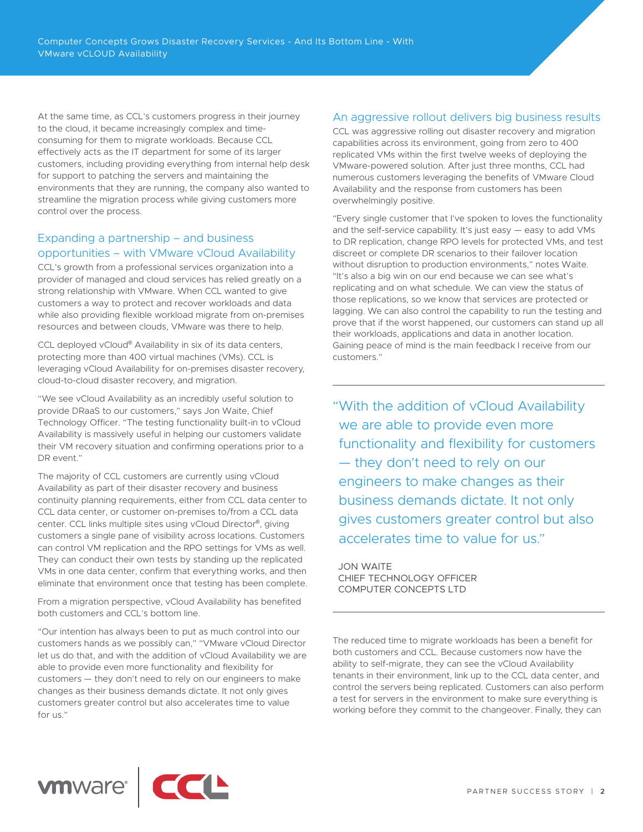At the same time, as CCL's customers progress in their journey to the cloud, it became increasingly complex and timeconsuming for them to migrate workloads. Because CCL effectively acts as the IT department for some of its larger customers, including providing everything from internal help desk for support to patching the servers and maintaining the environments that they are running, the company also wanted to streamline the migration process while giving customers more control over the process.

## Expanding a partnership – and business opportunities – with VMware vCloud Availability

CCL's growth from a professional services organization into a provider of managed and cloud services has relied greatly on a strong relationship with VMware. When CCL wanted to give customers a way to protect and recover workloads and data while also providing flexible workload migrate from on-premises resources and between clouds, VMware was there to help.

CCL deployed vCloud® Availability in six of its data centers, protecting more than 400 virtual machines (VMs). CCL is leveraging vCloud Availability for on-premises disaster recovery, cloud-to-cloud disaster recovery, and migration.

"We see vCloud Availability as an incredibly useful solution to provide DRaaS to our customers," says Jon Waite, Chief Technology Officer. "The testing functionality built-in to vCloud Availability is massively useful in helping our customers validate their VM recovery situation and confirming operations prior to a DR event."

The majority of CCL customers are currently using vCloud Availability as part of their disaster recovery and business continuity planning requirements, either from CCL data center to CCL data center, or customer on-premises to/from a CCL data center. CCL links multiple sites using vCloud Director®, giving customers a single pane of visibility across locations. Customers can control VM replication and the RPO settings for VMs as well. They can conduct their own tests by standing up the replicated VMs in one data center, confirm that everything works, and then eliminate that environment once that testing has been complete.

From a migration perspective, vCloud Availability has benefited both customers and CCL's bottom line.

"Our intention has always been to put as much control into our customers hands as we possibly can," "VMware vCloud Director let us do that, and with the addition of vCloud Availability we are able to provide even more functionality and flexibility for customers — they don't need to rely on our engineers to make changes as their business demands dictate. It not only gives customers greater control but also accelerates time to value for us."

## An aggressive rollout delivers big business results

CCL was aggressive rolling out disaster recovery and migration capabilities across its environment, going from zero to 400 replicated VMs within the first twelve weeks of deploying the VMware-powered solution. After just three months, CCL had numerous customers leveraging the benefits of VMware Cloud Availability and the response from customers has been overwhelmingly positive.

"Every single customer that I've spoken to loves the functionality and the self-service capability. It's just easy — easy to add VMs to DR replication, change RPO levels for protected VMs, and test discreet or complete DR scenarios to their failover location without disruption to production environments," notes Waite. "It's also a big win on our end because we can see what's replicating and on what schedule. We can view the status of those replications, so we know that services are protected or lagging. We can also control the capability to run the testing and prove that if the worst happened, our customers can stand up all their workloads, applications and data in another location. Gaining peace of mind is the main feedback I receive from our customers."

"With the addition of vCloud Availability we are able to provide even more functionality and flexibility for customers — they don't need to rely on our engineers to make changes as their business demands dictate. It not only gives customers greater control but also accelerates time to value for us."

JON WAITE CHIEF TECHNOLOGY OFFICER COMPUTER CONCEPTS LTD

The reduced time to migrate workloads has been a benefit for both customers and CCL. Because customers now have the ability to self-migrate, they can see the vCloud Availability tenants in their environment, link up to the CCL data center, and control the servers being replicated. Customers can also perform a test for servers in the environment to make sure everything is working before they commit to the changeover. Finally, they can